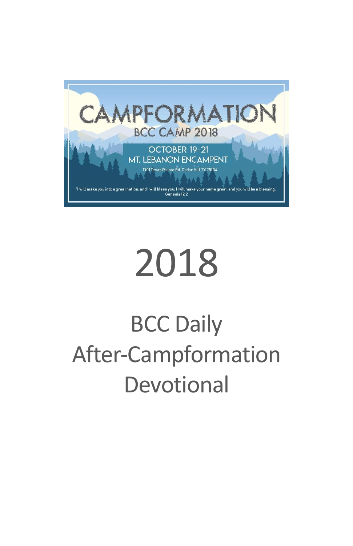

# 2018

## BCC Daily After-Campformation Devotional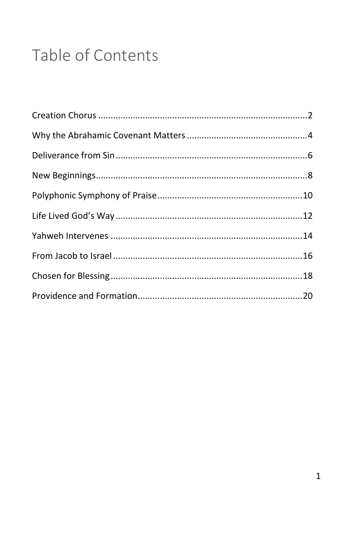### Table of Contents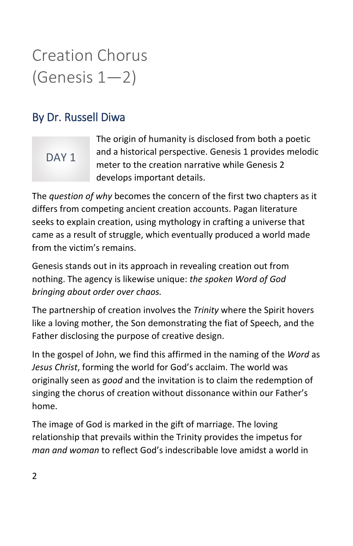### Creation Chorus (Genesis 1—2)

#### By Dr. Russell Diwa

### DAY<sub>1</sub>

The origin of humanity is disclosed from both a poetic and a historical perspective. Genesis 1 provides melodic meter to the creation narrative while Genesis 2 develops important details.

The *question of why* becomes the concern of the first two chapters as it differs from competing ancient creation accounts. Pagan literature seeks to explain creation, using mythology in crafting a universe that came as a result of struggle, which eventually produced a world made from the victim's remains.

Genesis stands out in its approach in revealing creation out from nothing. The agency is likewise unique: *the spoken Word of God bringing about order over chaos.*

The partnership of creation involves the *Trinity* where the Spirit hovers like a loving mother, the Son demonstrating the fiat of Speech, and the Father disclosing the purpose of creative design.

In the gospel of John, we find this affirmed in the naming of the *Word* as *Jesus Christ*, forming the world for God's acclaim. The world was originally seen as *good* and the invitation is to claim the redemption of singing the chorus of creation without dissonance within our Father's home.

The image of God is marked in the gift of marriage. The loving relationship that prevails within the Trinity provides the impetus for *man and woman* to reflect God's indescribable love amidst a world in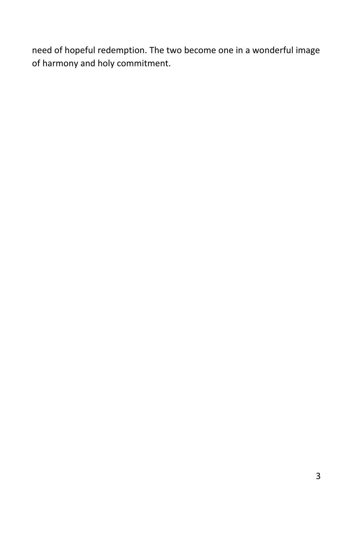need of hopeful redemption. The two become one in a wonderful image of harmony and holy commitment.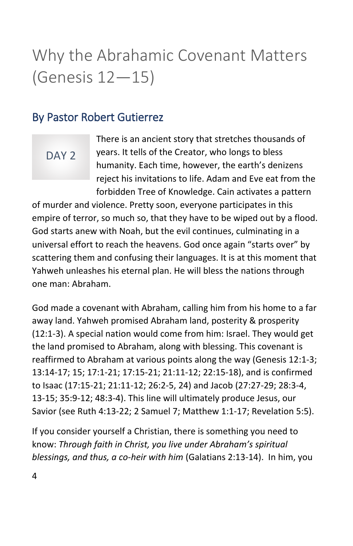### Why the Abrahamic Covenant Matters (Genesis 12—15)

#### By Pastor Robert Gutierrez

#### DAY<sub>2</sub>

There is an ancient story that stretches thousands of years. It tells of the Creator, who longs to bless humanity. Each time, however, the earth's denizens reject his invitations to life. Adam and Eve eat from the forbidden Tree of Knowledge. Cain activates a pattern

of murder and violence. Pretty soon, everyone participates in this empire of terror, so much so, that they have to be wiped out by a flood. God starts anew with Noah, but the evil continues, culminating in a universal effort to reach the heavens. God once again "starts over" by scattering them and confusing their languages. It is at this moment that Yahweh unleashes his eternal plan. He will bless the nations through one man: Abraham.

God made a covenant with Abraham, calling him from his home to a far away land. Yahweh promised Abraham land, posterity & prosperity (12:1-3). A special nation would come from him: Israel. They would get the land promised to Abraham, along with blessing. This covenant is reaffirmed to Abraham at various points along the way (Genesis 12:1-3; 13:14-17; 15; 17:1-21; 17:15-21; 21:11-12; 22:15-18), and is confirmed to Isaac (17:15-21; 21:11-12; 26:2-5, 24) and Jacob (27:27-29; 28:3-4, 13-15; 35:9-12; 48:3-4). This line will ultimately produce Jesus, our Savior (see Ruth 4:13-22; 2 Samuel 7; Matthew 1:1-17; Revelation 5:5).

If you consider yourself a Christian, there is something you need to know: *Through faith in Christ, you live under Abraham's spiritual blessings, and thus, a co-heir with him* (Galatians 2:13-14). In him, you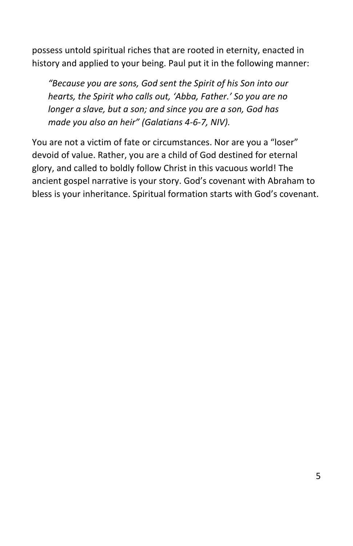possess untold spiritual riches that are rooted in eternity, enacted in history and applied to your being. Paul put it in the following manner:

*"Because you are sons, God sent the Spirit of his Son into our hearts, the Spirit who calls out, 'Abba, Father.' So you are no longer a slave, but a son; and since you are a son, God has made you also an heir" (Galatians 4-6-7, NIV).*

You are not a victim of fate or circumstances. Nor are you a "loser" devoid of value. Rather, you are a child of God destined for eternal glory, and called to boldly follow Christ in this vacuous world! The ancient gospel narrative is your story. God's covenant with Abraham to bless is your inheritance. Spiritual formation starts with God's covenant.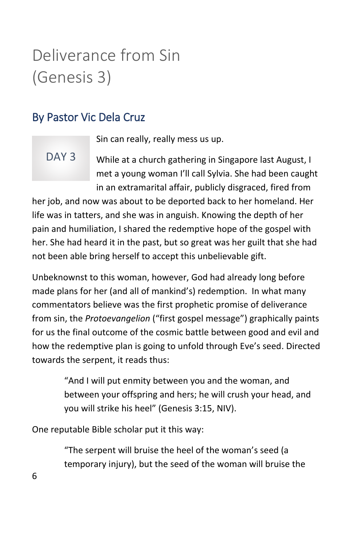### Deliverance from Sin (Genesis 3)

### By Pastor Vic Dela Cruz

DAY<sub>3</sub>

Sin can really, really mess us up.

#### While at a church gathering in Singapore last August, I met a young woman I'll call Sylvia. She had been caught in an extramarital affair, publicly disgraced, fired from

her job, and now was about to be deported back to her homeland. Her life was in tatters, and she was in anguish. Knowing the depth of her pain and humiliation, I shared the redemptive hope of the gospel with her. She had heard it in the past, but so great was her guilt that she had not been able bring herself to accept this unbelievable gift.

Unbeknownst to this woman, however, God had already long before made plans for her (and all of mankind's) redemption. In what many commentators believe was the first prophetic promise of deliverance from sin, the *Protoevangelion* ("first gospel message") graphically paints for us the final outcome of the cosmic battle between good and evil and how the redemptive plan is going to unfold through Eve's seed. Directed towards the serpent, it reads thus:

> "And I will put enmity between you and the woman, and between your offspring and hers; he will crush your head, and you will strike his heel" (Genesis 3:15, NIV).

One reputable Bible scholar put it this way:

"The serpent will bruise the heel of the woman's seed (a temporary injury), but the seed of the woman will bruise the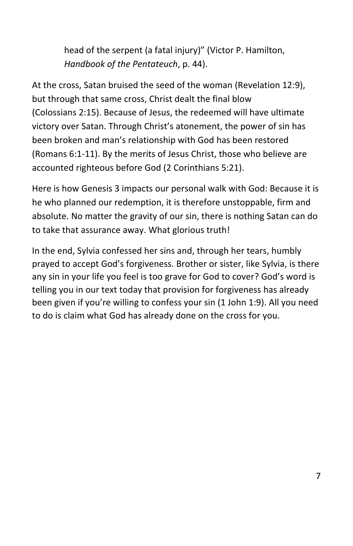head of the serpent (a fatal injury)" (Victor P. Hamilton, *Handbook of the Pentateuch*, p. 44).

At the cross, Satan bruised the seed of the woman (Revelation 12:9), but through that same cross, Christ dealt the final blow (Colossians 2:15). Because of Jesus, the redeemed will have ultimate victory over Satan. Through Christ's atonement, the power of sin has been broken and man's relationship with God has been restored (Romans 6:1-11). By the merits of Jesus Christ, those who believe are accounted righteous before God (2 Corinthians 5:21).

Here is how Genesis 3 impacts our personal walk with God: Because it is he who planned our redemption, it is therefore unstoppable, firm and absolute. No matter the gravity of our sin, there is nothing Satan can do to take that assurance away. What glorious truth!

In the end, Sylvia confessed her sins and, through her tears, humbly prayed to accept God's forgiveness. Brother or sister, like Sylvia, is there any sin in your life you feel is too grave for God to cover? God's word is telling you in our text today that provision for forgiveness has already been given if you're willing to confess your sin (1 John 1:9). All you need to do is claim what God has already done on the cross for you.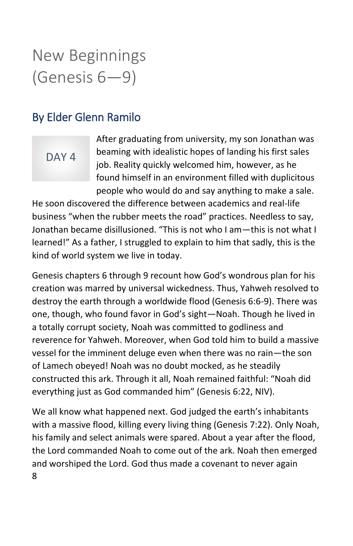### New Beginnings (Genesis 6—9)

#### By Elder Glenn Ramilo

#### DAY<sub>4</sub>

After graduating from university, my son Jonathan was beaming with idealistic hopes of landing his first sales job. Reality quickly welcomed him, however, as he found himself in an environment filled with duplicitous people who would do and say anything to make a sale.

He soon discovered the difference between academics and real-life business "when the rubber meets the road" practices. Needless to say, Jonathan became disillusioned. "This is not who I am—this is not what I learned!" As a father, I struggled to explain to him that sadly, this is the kind of world system we live in today.

Genesis chapters 6 through 9 recount how God's wondrous plan for his creation was marred by universal wickedness. Thus, Yahweh resolved to destroy the earth through a worldwide flood (Genesis 6:6-9). There was one, though, who found favor in God's sight—Noah. Though he lived in a totally corrupt society, Noah was committed to godliness and reverence for Yahweh. Moreover, when God told him to build a massive vessel for the imminent deluge even when there was no rain—the son of Lamech obeyed! Noah was no doubt mocked, as he steadily constructed this ark. Through it all, Noah remained faithful: "Noah did everything just as God commanded him" (Genesis 6:22, NIV).

8 We all know what happened next. God judged the earth's inhabitants with a massive flood, killing every living thing (Genesis 7:22). Only Noah, his family and select animals were spared. About a year after the flood, the Lord commanded Noah to come out of the ark. Noah then emerged and worshiped the Lord. God thus made a covenant to never again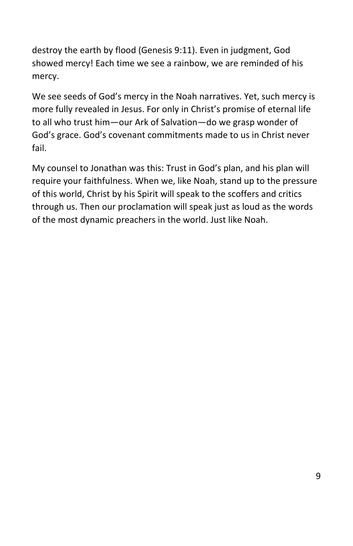destroy the earth by flood (Genesis 9:11). Even in judgment, God showed mercy! Each time we see a rainbow, we are reminded of his mercy.

We see seeds of God's mercy in the Noah narratives. Yet, such mercy is more fully revealed in Jesus. For only in Christ's promise of eternal life to all who trust him—our Ark of Salvation—do we grasp wonder of God's grace. God's covenant commitments made to us in Christ never fail.

My counsel to Jonathan was this: Trust in God's plan, and his plan will require your faithfulness. When we, like Noah, stand up to the pressure of this world, Christ by his Spirit will speak to the scoffers and critics through us. Then our proclamation will speak just as loud as the words of the most dynamic preachers in the world. Just like Noah.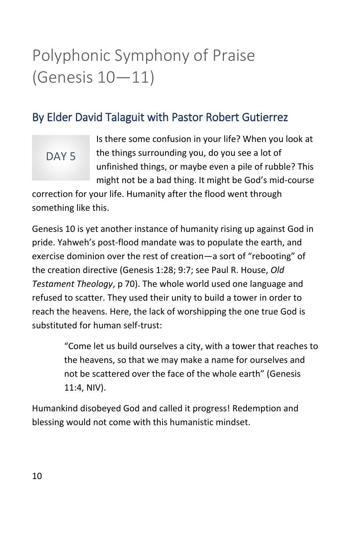### Polyphonic Symphony of Praise (Genesis 10—11)

#### By Elder David Talaguit with Pastor Robert Gutierrez

### DAY<sub>5</sub>

Is there some confusion in your life? When you look at the things surrounding you, do you see a lot of unfinished things, or maybe even a pile of rubble? This might not be a bad thing. It might be God's mid-course

correction for your life. Humanity after the flood went through something like this.

Genesis 10 is yet another instance of humanity rising up against God in pride. Yahweh's post-flood mandate was to populate the earth, and exercise dominion over the rest of creation—a sort of "rebooting" of the creation directive (Genesis 1:28; 9:7; see Paul R. House, *Old Testament Theology*, p 70). The whole world used one language and refused to scatter. They used their unity to build a tower in order to reach the heavens. Here, the lack of worshipping the one true God is substituted for human self-trust:

> "Come let us build ourselves a city, with a tower that reaches to the heavens, so that we may make a name for ourselves and not be scattered over the face of the whole earth" (Genesis 11:4, NIV).

Humankind disobeyed God and called it progress! Redemption and blessing would not come with this humanistic mindset.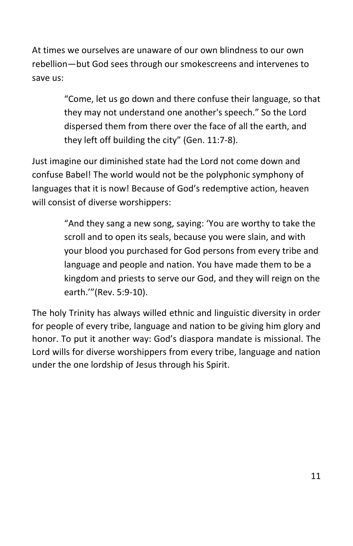At times we ourselves are unaware of our own blindness to our own rebellion—but God sees through our smokescreens and intervenes to save us:

> "Come, let us go down and there confuse their language, so that they may not understand one another's speech." So the Lord dispersed them from there over the face of all the earth, and they left off building the city" (Gen. 11:7-8).

Just imagine our diminished state had the Lord not come down and confuse Babel! The world would not be the polyphonic symphony of languages that it is now! Because of God's redemptive action, heaven will consist of diverse worshippers:

> "And they sang a new song, saying: 'You are worthy to take the scroll and to open its seals, because you were slain, and with your blood you purchased for God persons from every tribe and language and people and nation. You have made them to be a kingdom and priests to serve our God, and they will reign on the earth.'"(Rev. 5:9-10).

The holy Trinity has always willed ethnic and linguistic diversity in order for people of every tribe, language and nation to be giving him glory and honor. To put it another way: God's diaspora mandate is missional. The Lord wills for diverse worshippers from every tribe, language and nation under the one lordship of Jesus through his Spirit.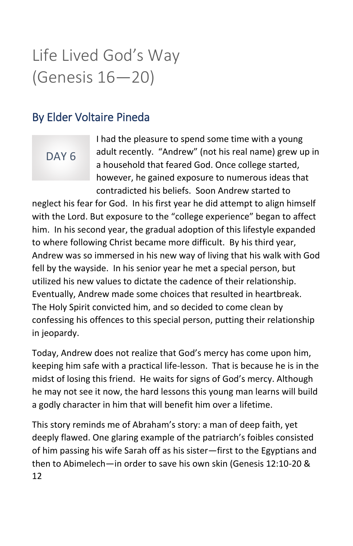### Life Lived God's Way (Genesis 16—20)

#### By Elder Voltaire Pineda

### DAY<sub>6</sub>

I had the pleasure to spend some time with a young adult recently. "Andrew" (not his real name) grew up in a household that feared God. Once college started, however, he gained exposure to numerous ideas that contradicted his beliefs. Soon Andrew started to

neglect his fear for God. In his first year he did attempt to align himself with the Lord. But exposure to the "college experience" began to affect him. In his second year, the gradual adoption of this lifestyle expanded to where following Christ became more difficult. By his third year, Andrew was so immersed in his new way of living that his walk with God fell by the wayside. In his senior year he met a special person, but utilized his new values to dictate the cadence of their relationship. Eventually, Andrew made some choices that resulted in heartbreak. The Holy Spirit convicted him, and so decided to come clean by confessing his offences to this special person, putting their relationship in jeopardy.

Today, Andrew does not realize that God's mercy has come upon him, keeping him safe with a practical life-lesson. That is because he is in the midst of losing this friend. He waits for signs of God's mercy. Although he may not see it now, the hard lessons this young man learns will build a godly character in him that will benefit him over a lifetime.

12 This story reminds me of Abraham's story: a man of deep faith, yet deeply flawed. One glaring example of the patriarch's foibles consisted of him passing his wife Sarah off as his sister—first to the Egyptians and then to Abimelech—in order to save his own skin (Genesis 12:10-20 &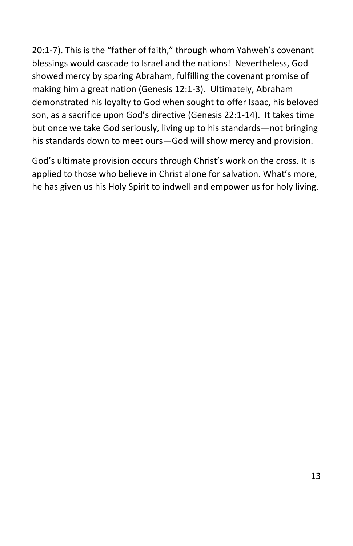20:1-7). This is the "father of faith," through whom Yahweh's covenant blessings would cascade to Israel and the nations! Nevertheless, God showed mercy by sparing Abraham, fulfilling the covenant promise of making him a great nation (Genesis 12:1-3). Ultimately, Abraham demonstrated his loyalty to God when sought to offer Isaac, his beloved son, as a sacrifice upon God's directive (Genesis 22:1-14). It takes time but once we take God seriously, living up to his standards—not bringing his standards down to meet ours—God will show mercy and provision.

God's ultimate provision occurs through Christ's work on the cross. It is applied to those who believe in Christ alone for salvation. What's more, he has given us his Holy Spirit to indwell and empower us for holy living.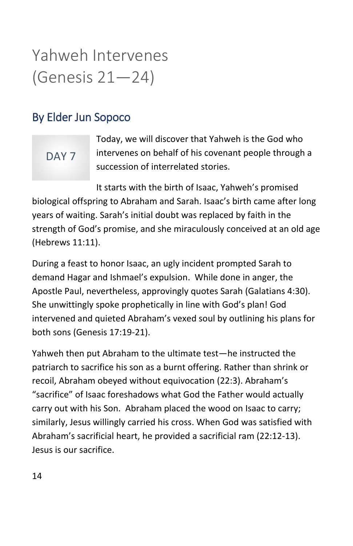### Yahweh Intervenes (Genesis 21—24)

### By Elder Jun Sopoco

### DAY<sub>7</sub>

Today, we will discover that Yahweh is the God who intervenes on behalf of his covenant people through a succession of interrelated stories.

It starts with the birth of Isaac, Yahweh's promised biological offspring to Abraham and Sarah. Isaac's birth came after long years of waiting. Sarah's initial doubt was replaced by faith in the strength of God's promise, and she miraculously conceived at an old age (Hebrews 11:11).

During a feast to honor Isaac, an ugly incident prompted Sarah to demand Hagar and Ishmael's expulsion. While done in anger, the Apostle Paul, nevertheless, approvingly quotes Sarah (Galatians 4:30). She unwittingly spoke prophetically in line with God's plan! God intervened and quieted Abraham's vexed soul by outlining his plans for both sons (Genesis 17:19-21).

Yahweh then put Abraham to the ultimate test—he instructed the patriarch to sacrifice his son as a burnt offering. Rather than shrink or recoil, Abraham obeyed without equivocation (22:3). Abraham's "sacrifice" of Isaac foreshadows what God the Father would actually carry out with his Son. Abraham placed the wood on Isaac to carry; similarly, Jesus willingly carried his cross. When God was satisfied with Abraham's sacrificial heart, he provided a sacrificial ram (22:12-13). Jesus is our sacrifice.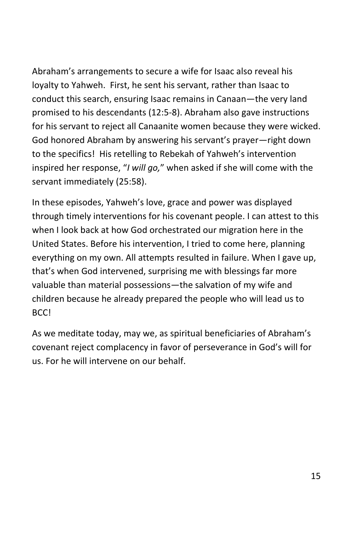Abraham's arrangements to secure a wife for Isaac also reveal his loyalty to Yahweh. First, he sent his servant, rather than Isaac to conduct this search, ensuring Isaac remains in Canaan—the very land promised to his descendants (12:5-8). Abraham also gave instructions for his servant to reject all Canaanite women because they were wicked. God honored Abraham by answering his servant's prayer—right down to the specifics! His retelling to Rebekah of Yahweh's intervention inspired her response, "*I will go,*" when asked if she will come with the servant immediately (25:58).

In these episodes, Yahweh's love, grace and power was displayed through timely interventions for his covenant people. I can attest to this when I look back at how God orchestrated our migration here in the United States. Before his intervention, I tried to come here, planning everything on my own. All attempts resulted in failure. When I gave up, that's when God intervened, surprising me with blessings far more valuable than material possessions—the salvation of my wife and children because he already prepared the people who will lead us to BCC!

As we meditate today, may we, as spiritual beneficiaries of Abraham's covenant reject complacency in favor of perseverance in God's will for us. For he will intervene on our behalf.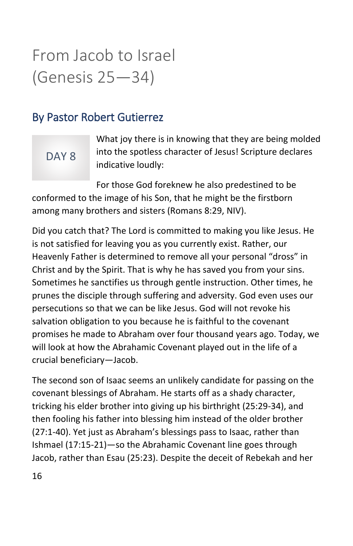### From Jacob to Israel (Genesis 25—34)

#### By Pastor Robert Gutierrez

### DAY 8

What joy there is in knowing that they are being molded into the spotless character of Jesus! Scripture declares indicative loudly:

For those God foreknew he also predestined to be conformed to the image of his Son, that he might be the firstborn among many brothers and sisters (Romans 8:29, NIV).

Did you catch that? The Lord is committed to making you like Jesus. He is not satisfied for leaving you as you currently exist. Rather, our Heavenly Father is determined to remove all your personal "dross" in Christ and by the Spirit. That is why he has saved you from your sins. Sometimes he sanctifies us through gentle instruction. Other times, he prunes the disciple through suffering and adversity. God even uses our persecutions so that we can be like Jesus. God will not revoke his salvation obligation to you because he is faithful to the covenant promises he made to Abraham over four thousand years ago. Today, we will look at how the Abrahamic Covenant played out in the life of a crucial beneficiary—Jacob.

The second son of Isaac seems an unlikely candidate for passing on the covenant blessings of Abraham. He starts off as a shady character, tricking his elder brother into giving up his birthright (25:29-34), and then fooling his father into blessing him instead of the older brother (27:1-40). Yet just as Abraham's blessings pass to Isaac, rather than Ishmael (17:15-21)—so the Abrahamic Covenant line goes through Jacob, rather than Esau (25:23). Despite the deceit of Rebekah and her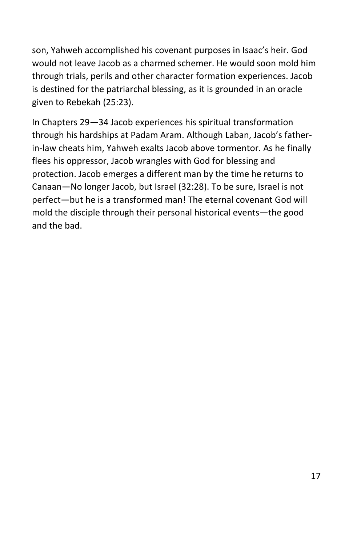son, Yahweh accomplished his covenant purposes in Isaac's heir. God would not leave Jacob as a charmed schemer. He would soon mold him through trials, perils and other character formation experiences. Jacob is destined for the patriarchal blessing, as it is grounded in an oracle given to Rebekah (25:23).

In Chapters 29—34 Jacob experiences his spiritual transformation through his hardships at Padam Aram. Although Laban, Jacob's fatherin-law cheats him, Yahweh exalts Jacob above tormentor. As he finally flees his oppressor, Jacob wrangles with God for blessing and protection. Jacob emerges a different man by the time he returns to Canaan—No longer Jacob, but Israel (32:28). To be sure, Israel is not perfect—but he is a transformed man! The eternal covenant God will mold the disciple through their personal historical events—the good and the bad.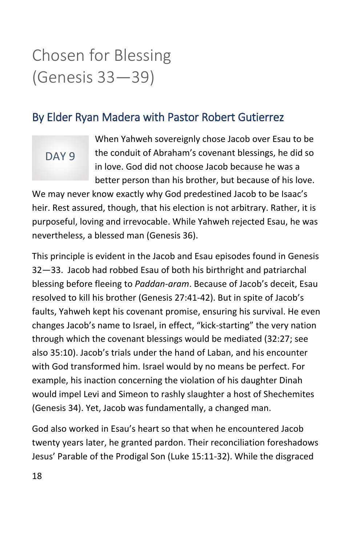### Chosen for Blessing (Genesis 33—39)

#### By Elder Ryan Madera with Pastor Robert Gutierrez

### DAY<sub>9</sub>

When Yahweh sovereignly chose Jacob over Esau to be the conduit of Abraham's covenant blessings, he did so in love. God did not choose Jacob because he was a better person than his brother, but because of his love.

We may never know exactly why God predestined Jacob to be Isaac's heir. Rest assured, though, that his election is not arbitrary. Rather, it is purposeful, loving and irrevocable. While Yahweh rejected Esau, he was nevertheless, a blessed man (Genesis 36).

This principle is evident in the Jacob and Esau episodes found in Genesis 32—33. Jacob had robbed Esau of both his birthright and patriarchal blessing before fleeing to *Paddan-aram*. Because of Jacob's deceit, Esau resolved to kill his brother (Genesis 27:41-42). But in spite of Jacob's faults, Yahweh kept his covenant promise, ensuring his survival. He even changes Jacob's name to Israel, in effect, "kick-starting" the very nation through which the covenant blessings would be mediated (32:27; see also 35:10). Jacob's trials under the hand of Laban, and his encounter with God transformed him. Israel would by no means be perfect. For example, his inaction concerning the violation of his daughter Dinah would impel Levi and Simeon to rashly slaughter a host of Shechemites (Genesis 34). Yet, Jacob was fundamentally, a changed man.

God also worked in Esau's heart so that when he encountered Jacob twenty years later, he granted pardon. Their reconciliation foreshadows Jesus' Parable of the Prodigal Son (Luke 15:11-32). While the disgraced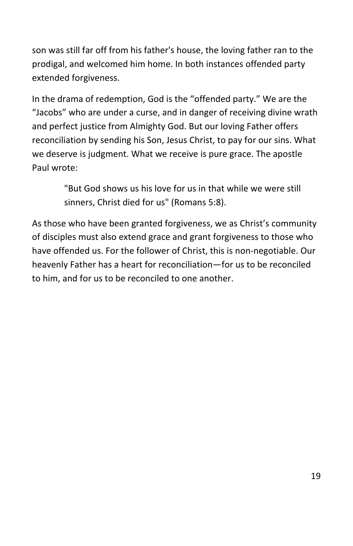son was still far off from his father's house, the loving father ran to the prodigal, and welcomed him home. In both instances offended party extended forgiveness.

In the drama of redemption, God is the "offended party." We are the "Jacobs" who are under a curse, and in danger of receiving divine wrath and perfect justice from Almighty God. But our loving Father offers reconciliation by sending his Son, Jesus Christ, to pay for our sins. What we deserve is judgment. What we receive is pure grace. The apostle Paul wrote:

> "But God shows us his love for us in that while we were still sinners, Christ died for us" (Romans 5:8).

As those who have been granted forgiveness, we as Christ's community of disciples must also extend grace and grant forgiveness to those who have offended us. For the follower of Christ, this is non-negotiable. Our heavenly Father has a heart for reconciliation—for us to be reconciled to him, and for us to be reconciled to one another.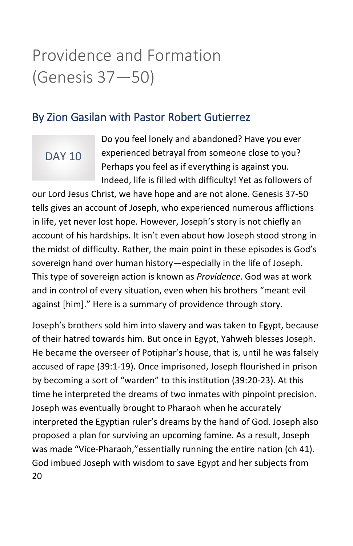### Providence and Formation (Genesis 37—50)

#### By Zion Gasilan with Pastor Robert Gutierrez

### DAY 10

Do you feel lonely and abandoned? Have you ever experienced betrayal from someone close to you? Perhaps you feel as if everything is against you. Indeed, life is filled with difficulty! Yet as followers of

our Lord Jesus Christ, we have hope and are not alone. Genesis 37-50 tells gives an account of Joseph, who experienced numerous afflictions in life, yet never lost hope. However, Joseph's story is not chiefly an account of his hardships. It isn't even about how Joseph stood strong in the midst of difficulty. Rather, the main point in these episodes is God's sovereign hand over human history—especially in the life of Joseph. This type of sovereign action is known as *Providence*. God was at work and in control of every situation, even when his brothers "meant evil against [him]." Here is a summary of providence through story.

20 Joseph's brothers sold him into slavery and was taken to Egypt, because of their hatred towards him. But once in Egypt, Yahweh blesses Joseph. He became the overseer of Potiphar's house, that is, until he was falsely accused of rape (39:1-19). Once imprisoned, Joseph flourished in prison by becoming a sort of "warden" to this institution (39:20-23). At this time he interpreted the dreams of two inmates with pinpoint precision. Joseph was eventually brought to Pharaoh when he accurately interpreted the Egyptian ruler's dreams by the hand of God. Joseph also proposed a plan for surviving an upcoming famine. As a result, Joseph was made "Vice-Pharaoh,"essentially running the entire nation (ch 41). God imbued Joseph with wisdom to save Egypt and her subjects from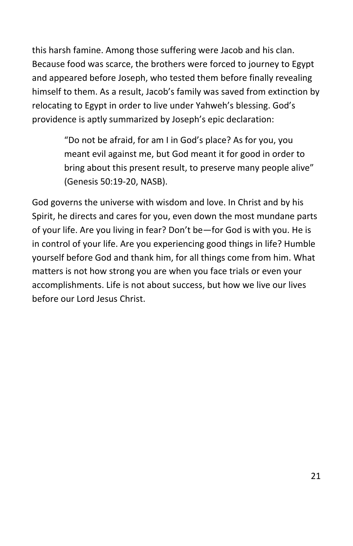this harsh famine. Among those suffering were Jacob and his clan. Because food was scarce, the brothers were forced to journey to Egypt and appeared before Joseph, who tested them before finally revealing himself to them. As a result, Jacob's family was saved from extinction by relocating to Egypt in order to live under Yahweh's blessing. God's providence is aptly summarized by Joseph's epic declaration:

> "Do not be afraid, for am I in God's place? As for you, you meant evil against me, but God meant it for good in order to bring about this present result, to preserve many people alive" (Genesis 50:19-20, NASB).

God governs the universe with wisdom and love. In Christ and by his Spirit, he directs and cares for you, even down the most mundane parts of your life. Are you living in fear? Don't be—for God is with you. He is in control of your life. Are you experiencing good things in life? Humble yourself before God and thank him, for all things come from him. What matters is not how strong you are when you face trials or even your accomplishments. Life is not about success, but how we live our lives before our Lord Jesus Christ.